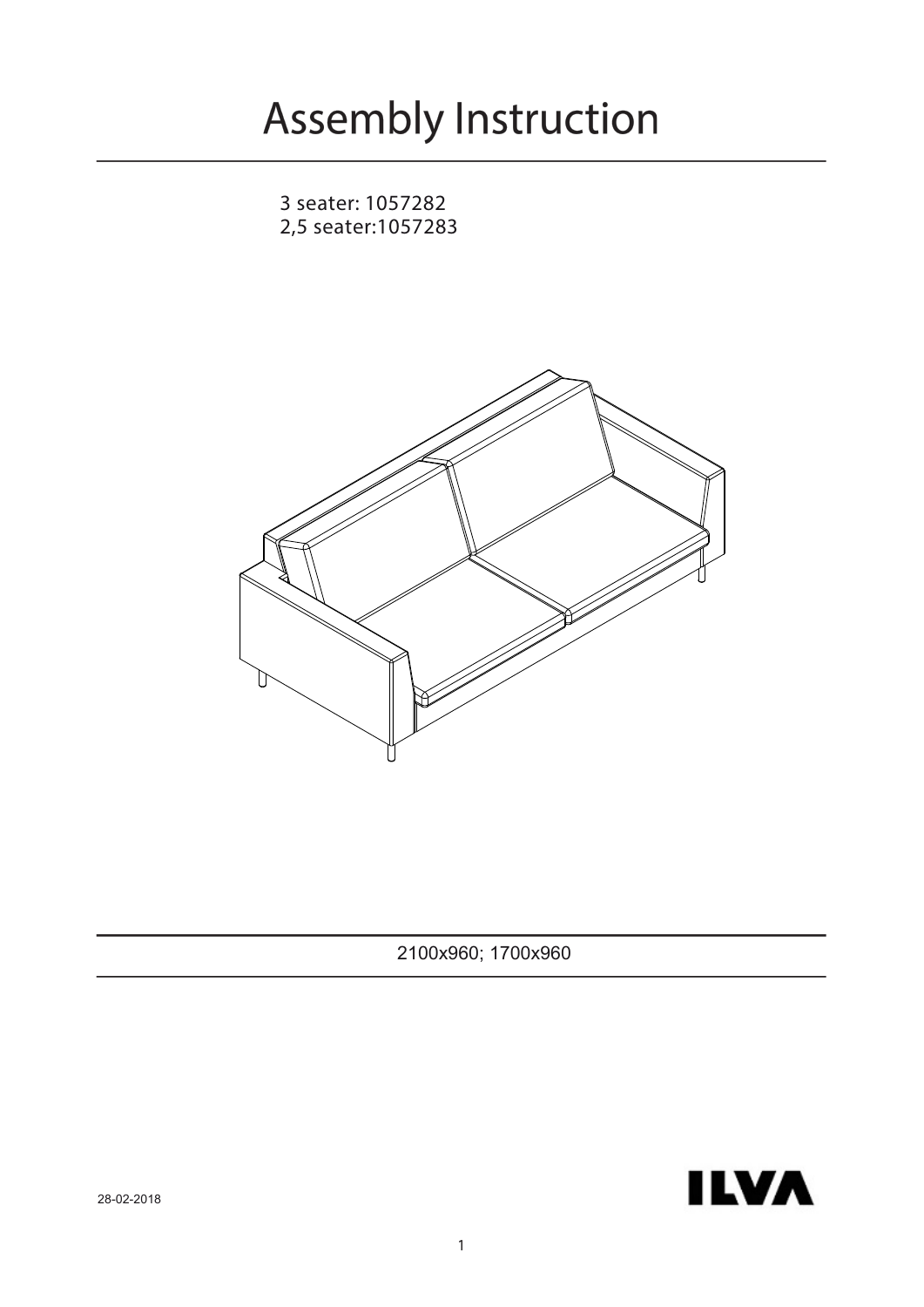3 seater: 1057282 2,5 seater:1057283



2100x960; 1700x960



28-02-2018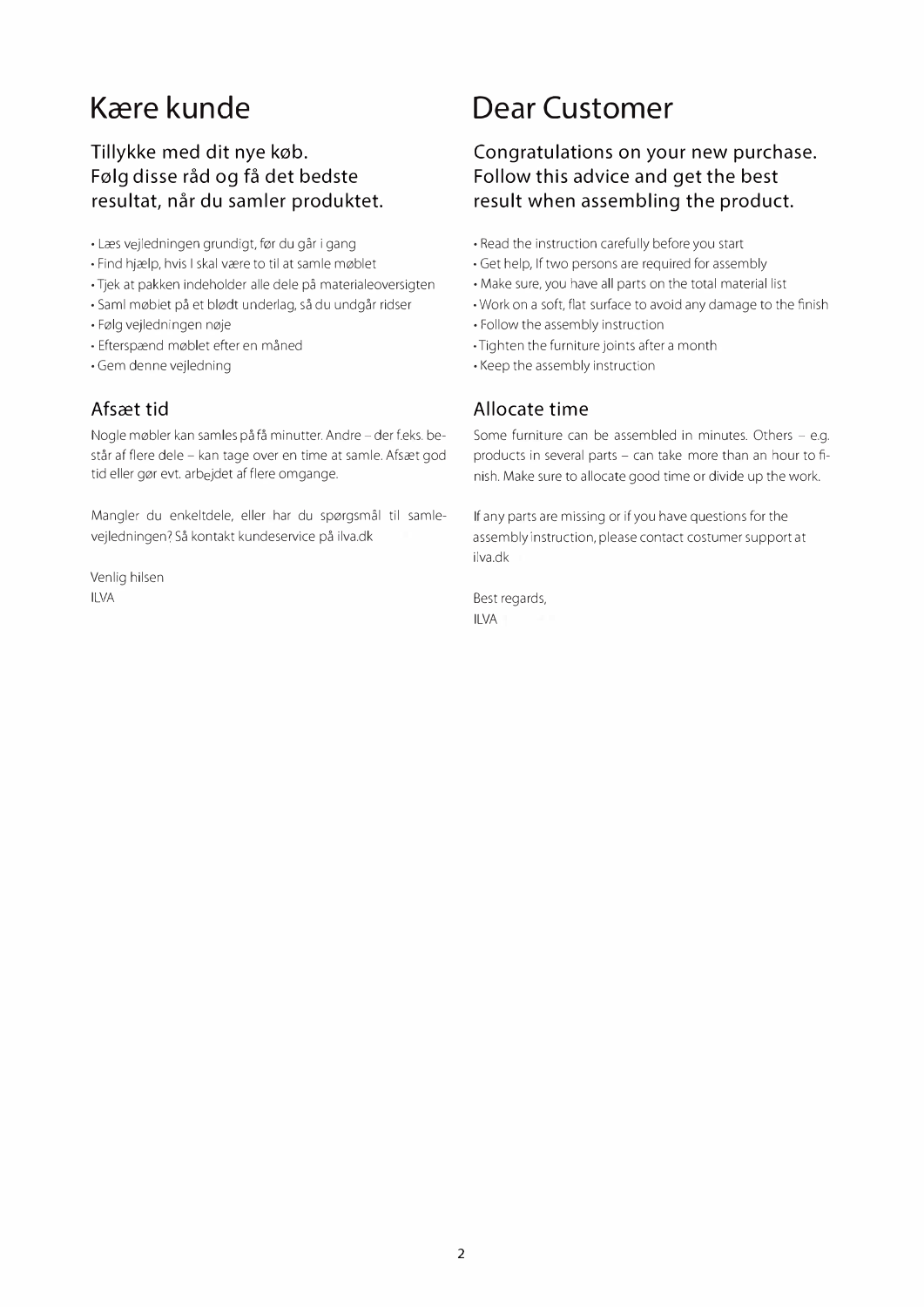## **K�re kunde**

### **Tillykke med dit nye køb. F0lg disse rad og fa det bedste resultat, nar du samler produktet.**

- Læs vejledningen grundigt, før du går i gang
- Find hjælp, hvis I skal være to til at samle møblet
- Tjek at pakken indeholder alle dele pa materialeoversigten
- Saml møblet på et blødt underlag, så du undgår ridser
- Følg vejledningen nøje
- Efterspænd møblet efter en måned
- Gem denne vejledning

#### **Afscet tid**

Nogle møbler kan samles på få minutter. Andre – der f.eks. består af flere dele - kan tage over en time at samle. Afsæt god tid eller gør evt. arbejdet af flere omgange.

Mangler du enkeltdele, eller har du spørgsmål til samlevejledningen? Så kontakt kundeservice på ilva.dk

Venlig hilsen ILVA

## **Dear Customer**

### **Congratulations on your new purchase. Follow this advice and get the best result when assembling the product.**

- Read the instruction carefully before you start
- Get help, If two persons are required for assembly
- Make sure, you have all parts on the total material list
- Work on a soft, flat surface to avoid any damage to the finish
- Follow the assembly instruction
- Tighten the furniture joints after a month
- Keep the assembly instruction

#### **Allocate time**

Some furniture can be assembled in minutes. Others - e.g. products in several parts - can take more than an hour to finish. Make sure to allocate good time or divide up the work.

If any parts are missing or if you have questions for the assembly instruction, please contact costumer support at ilva.dk

Best regards, ILVA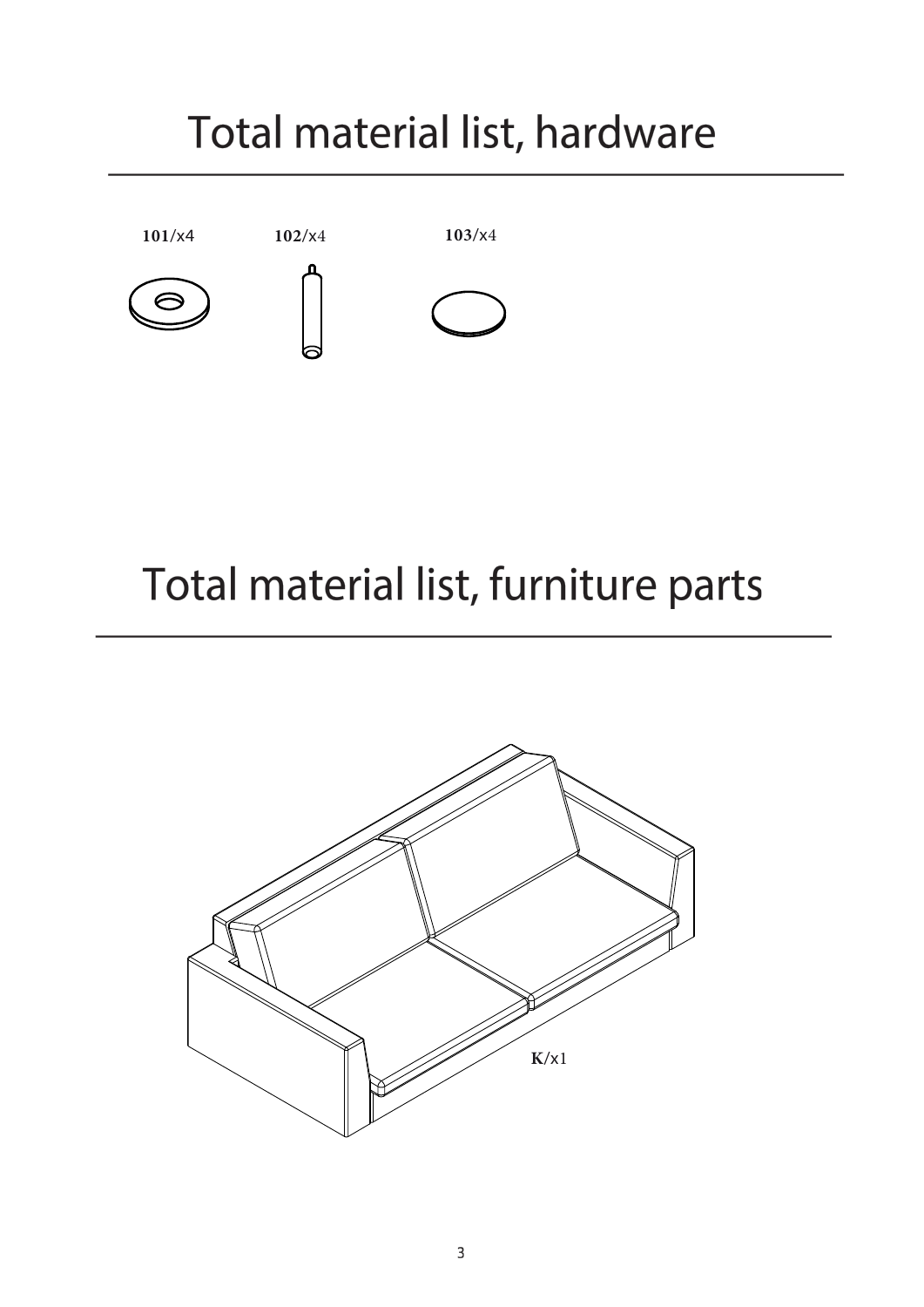# Total material list, hardware



# Total material list, furniture parts